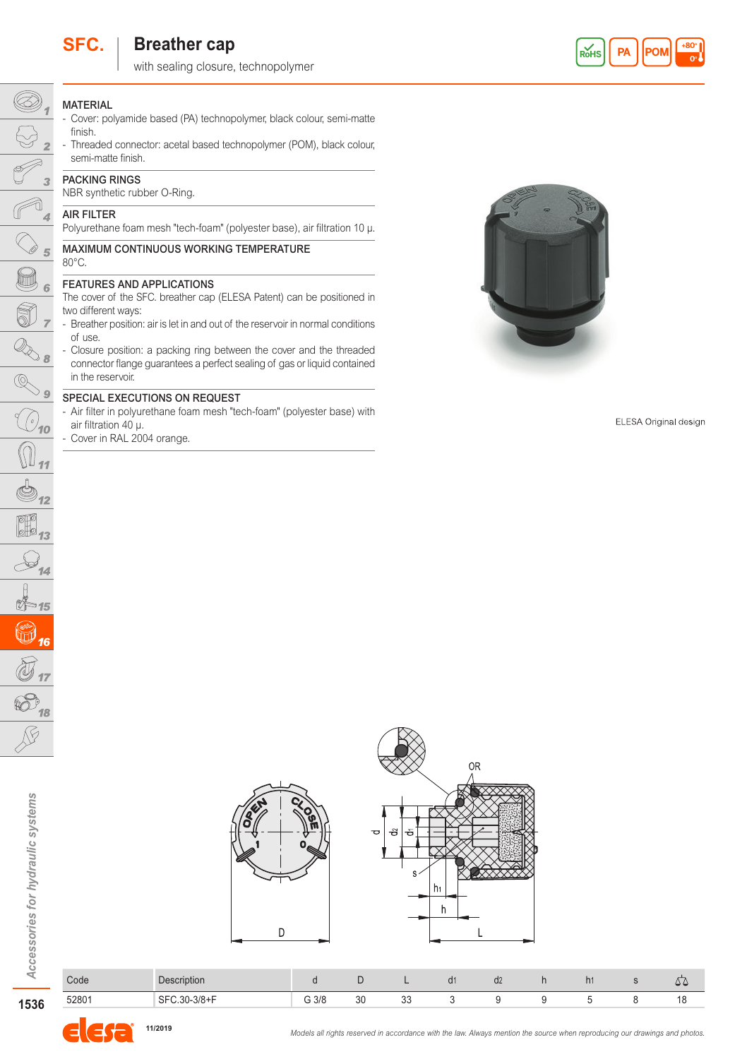

# **SFC.** | Breather cap

with sealing closure, technopolymer



# **MATERIAL**

 $\circledcirc$ 

 $\curvearrowleft$  $\overline{4}$ 

 $\frac{\sqrt{25}}{2}$ 

 $\overline{\mathcal{R}_{\delta}}$ 

 $\frac{3}{\sqrt{2}}$ 

 $\bigcirc$ <sub>10</sub>

 $\overline{\frac{\mathbb{O}_{11}}{\mathbb{S}_{12}}}$ 

 $\overline{\odot}$   $\overline{\odot}$   $\overline{\circ}$   $\overline{\circ}$   $\overline{\circ}$   $\overline{\circ}$   $\overline{\circ}$   $\overline{\circ}$   $\overline{\circ}$   $\overline{\circ}$   $\overline{\circ}$   $\overline{\circ}$   $\overline{\circ}$   $\overline{\circ}$   $\overline{\circ}$   $\overline{\circ}$   $\overline{\circ}$   $\overline{\circ}$   $\overline{\circ}$   $\overline{\circ}$   $\overline{\circ}$   $\overline{\circ}$   $\overline{\circ}$   $\overline{\circ}$   $\over$ 

t∱≈15 0,

 $\widehat{\mathbb{Q}}$ 

 $14$ 

O  $\sqrt{6}$ 

- Cover: polyamide based (PA) technopolymer, black colour, semi-matte finish.
- Threaded connector: acetal based technopolymer (POM), black colour, semi-matte finish.

## PACKING RINGS

NBR synthetic rubber O-Ring.

## AIR FILTER

Polyurethane foam mesh "tech-foam" (polyester base), air filtration 10 µ.

#### MAXIMUM CONTINUOUS WORKING TEMPERATURE 80°C.

## FEATURES AND APPLICATIONS

The cover of the SFC. breather cap (ELESA Patent) can be positioned in two different ways:

- Breather position: air is let in and out of the reservoir in normal conditions of use.
- Closure position: a packing ring between the cover and the threaded connector flange guarantees a perfect sealing of gas or liquid contained in the reservoir.

#### SPECIAL EXECUTIONS ON REQUEST

- Air filter in polyurethane foam mesh "tech-foam" (polyester base) with air filtration 40 µ.

- Cover in RAL 2004 orange.



ELESA Original design



| Code  | <b>Description</b>                |      | ◡  |              | d2 | n <sub>1</sub> | ، پ |
|-------|-----------------------------------|------|----|--------------|----|----------------|-----|
| 52801 | $.30 - 3/8 + F$<br><b>QE</b><br>◡ | G3/8 | 30 | $\sim$<br>ഄഄ |    |                | . . |



1536